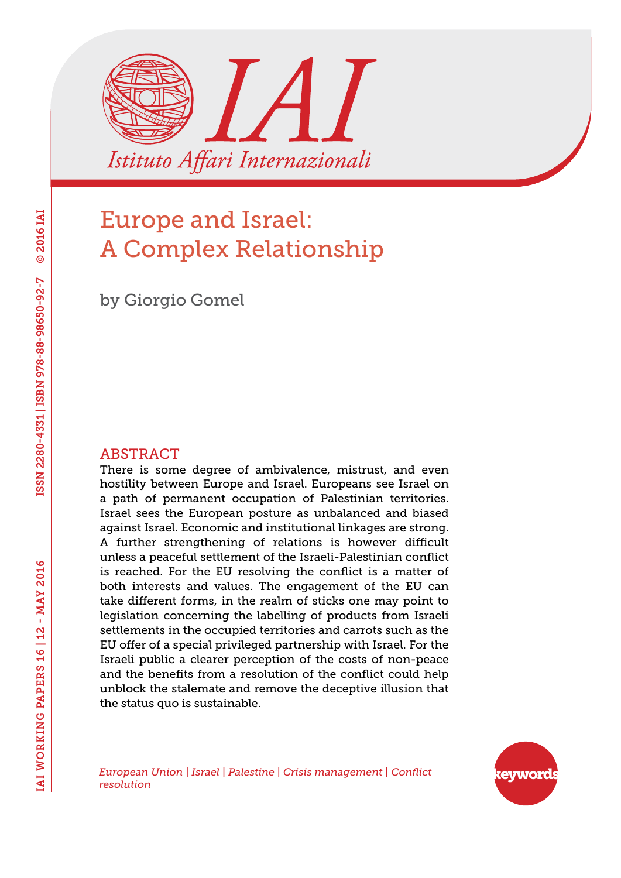

# Europe and Israel: A Complex Relationship

by Giorgio Gomel

#### ABSTRACT

There is some degree of ambivalence, mistrust, and even hostility between Europe and Israel. Europeans see Israel on a path of permanent occupation of Palestinian territories. Israel sees the European posture as unbalanced and biased against Israel. Economic and institutional linkages are strong. A further strengthening of relations is however difficult unless a peaceful settlement of the Israeli-Palestinian conflict is reached. For the EU resolving the conflict is a matter of both interests and values. The engagement of the EU can take different forms, in the realm of sticks one may point to legislation concerning the labelling of products from Israeli settlements in the occupied territories and carrots such as the EU offer of a special privileged partnership with Israel. For the Israeli public a clearer perception of the costs of non-peace and the benefits from a resolution of the conflict could help unblock the stalemate and remove the deceptive illusion that the status quo is sustainable.

keyword

*European Union | Israel | Palestine | Crisis management | Conflict resolution*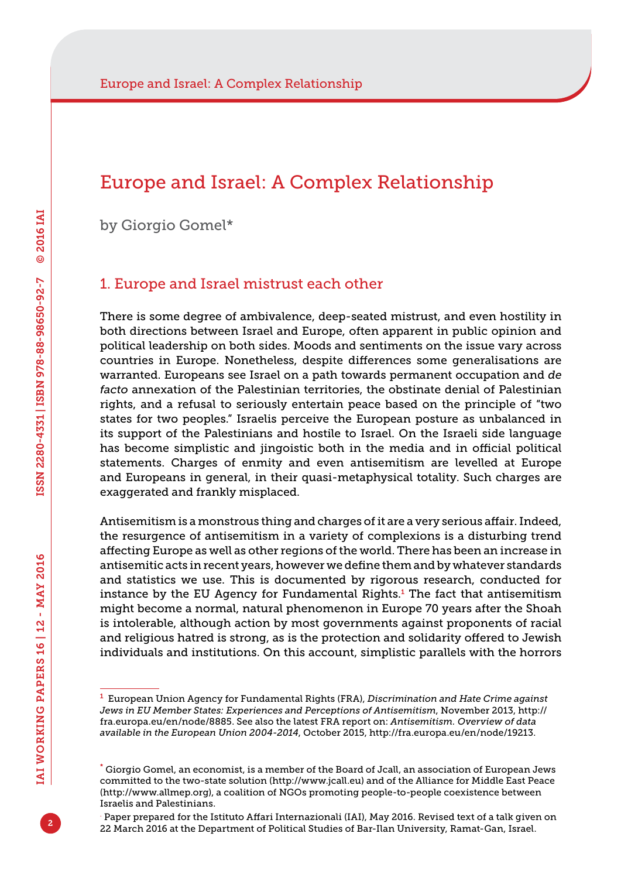### Europe and Israel: A Complex Relationship

by Giorgio Gomel\*

#### 1. Europe and Israel mistrust each other

There is some degree of ambivalence, deep-seated mistrust, and even hostility in both directions between Israel and Europe, often apparent in public opinion and political leadership on both sides. Moods and sentiments on the issue vary across countries in Europe. Nonetheless, despite differences some generalisations are warranted. Europeans see Israel on a path towards permanent occupation and *de facto* annexation of the Palestinian territories, the obstinate denial of Palestinian rights, and a refusal to seriously entertain peace based on the principle of "two states for two peoples." Israelis perceive the European posture as unbalanced in its support of the Palestinians and hostile to Israel. On the Israeli side language has become simplistic and jingoistic both in the media and in official political statements. Charges of enmity and even antisemitism are levelled at Europe and Europeans in general, in their quasi-metaphysical totality. Such charges are exaggerated and frankly misplaced.

Antisemitism is a monstrous thing and charges of it are a very serious affair. Indeed, the resurgence of antisemitism in a variety of complexions is a disturbing trend affecting Europe as well as other regions of the world. There has been an increase in antisemitic acts in recent years, however we define them and by whatever standards and statistics we use. This is documented by rigorous research, conducted for instance by the EU Agency for Fundamental Rights.<sup>1</sup> The fact that antisemitism might become a normal, natural phenomenon in Europe 70 years after the Shoah is intolerable, although action by most governments against proponents of racial and religious hatred is strong, as is the protection and solidarity offered to Jewish individuals and institutions. On this account, simplistic parallels with the horrors

2

<sup>1</sup> European Union Agency for Fundamental Rights (FRA), *Discrimination and Hate Crime against Jews in EU Member States: Experiences and Perceptions of Antisemitism*, November 2013, [http://](http://fra.europa.eu/en/node/8885) [fra.europa.eu/en/node/8885](http://fra.europa.eu/en/node/8885). See also the latest FRA report on: *Antisemitism. Overview of data available in the European Union 2004-2014*, October 2015, [http://fra.europa.eu/en/node/19213.](http://fra.europa.eu/en/node/19213)

<sup>\*</sup> Giorgio Gomel, an economist, is a member of the Board of Jcall, an association of European Jews committed to the two-state solution [\(http://www.jcall.eu](http://www.jcall.eu)) and of the Alliance for Middle East Peace ([http://www.allmep.org\)](http://www.allmep.org), a coalition of NGOs promoting people-to-people coexistence between Israelis and Palestinians.

<sup>.</sup> Paper prepared for the Istituto Affari Internazionali (IAI), May 2016. Revised text of a talk given on 22 March 2016 at the Department of Political Studies of Bar-Ilan University, Ramat-Gan, Israel.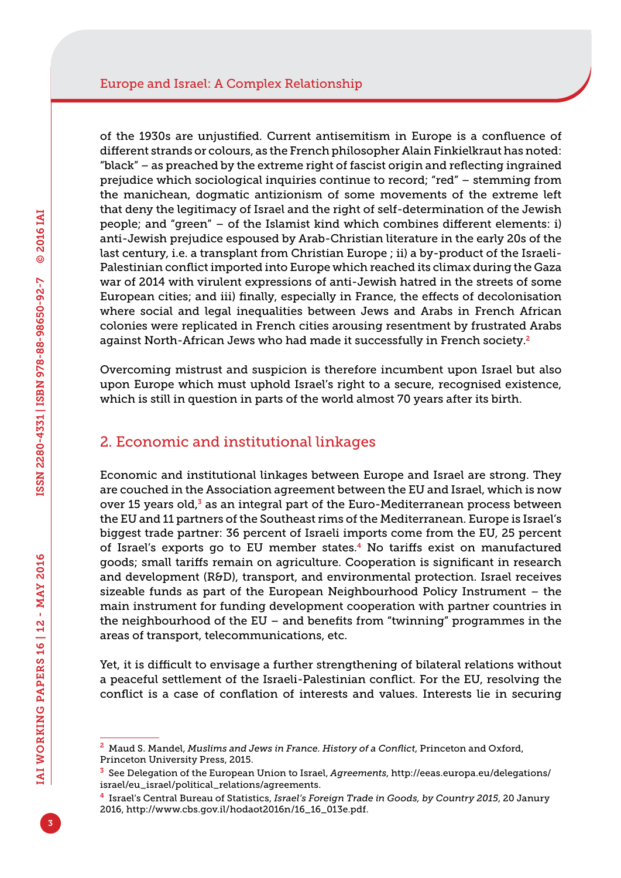of the 1930s are unjustified. Current antisemitism in Europe is a confluence of different strands or colours, as the French philosopher Alain Finkielkraut has noted: "black" – as preached by the extreme right of fascist origin and reflecting ingrained prejudice which sociological inquiries continue to record; "red" – stemming from the manichean, dogmatic antizionism of some movements of the extreme left that deny the legitimacy of Israel and the right of self-determination of the Jewish people; and "green" – of the Islamist kind which combines different elements: i) anti-Jewish prejudice espoused by Arab-Christian literature in the early 20s of the last century, i.e. a transplant from Christian Europe ; ii) a by-product of the Israeli-Palestinian conflict imported into Europe which reached its climax during the Gaza war of 2014 with virulent expressions of anti-Jewish hatred in the streets of some European cities; and iii) finally, especially in France, the effects of decolonisation where social and legal inequalities between Jews and Arabs in French African colonies were replicated in French cities arousing resentment by frustrated Arabs against North-African Jews who had made it successfully in French society.<sup>2</sup>

Overcoming mistrust and suspicion is therefore incumbent upon Israel but also upon Europe which must uphold Israel's right to a secure, recognised existence, which is still in question in parts of the world almost 70 years after its birth.

#### 2. Economic and institutional linkages

Economic and institutional linkages between Europe and Israel are strong. They are couched in the Association agreement between the EU and Israel, which is now over 15 years old, $3$  as an integral part of the Euro-Mediterranean process between the EU and 11 partners of the Southeast rims of the Mediterranean. Europe is Israel's biggest trade partner: 36 percent of Israeli imports come from the EU, 25 percent of Israel's exports go to EU member states.4 No tariffs exist on manufactured goods; small tariffs remain on agriculture. Cooperation is significant in research and development (R&D), transport, and environmental protection. Israel receives sizeable funds as part of the European Neighbourhood Policy Instrument – the main instrument for funding development cooperation with partner countries in the neighbourhood of the EU – and benefits from "twinning" programmes in the areas of transport, telecommunications, etc.

Yet, it is difficult to envisage a further strengthening of bilateral relations without a peaceful settlement of the Israeli-Palestinian conflict. For the EU, resolving the conflict is a case of conflation of interests and values. Interests lie in securing

<sup>2</sup> Maud S. Mandel, *Muslims and Jews in France. History of a Conflict*, Princeton and Oxford, Princeton University Press, 2015.

<sup>3</sup> See Delegation of the European Union to Israel, *Agreements*, [http://eeas.europa.eu/delegations/](http://eeas.europa.eu/delegations/israel/eu_israel/political_relations/agreements) [israel/eu\\_israel/political\\_relations/agreements.](http://eeas.europa.eu/delegations/israel/eu_israel/political_relations/agreements)

<sup>4</sup> Israel's Central Bureau of Statistics, *Israel's Foreign Trade in Goods, by Country 2015*, 20 Janury 2016, [http://www.cbs.gov.il/hodaot2016n/16\\_16\\_013e.pdf](http://www.cbs.gov.il/hodaot2016n/16_16_013e.pdf).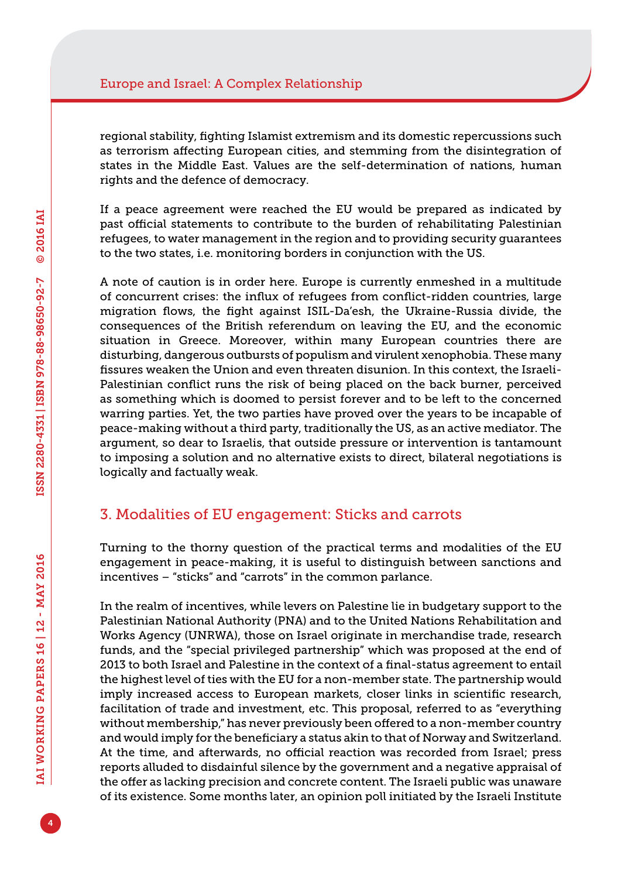regional stability, fighting Islamist extremism and its domestic repercussions such as terrorism affecting European cities, and stemming from the disintegration of states in the Middle East. Values are the self-determination of nations, human rights and the defence of democracy.

If a peace agreement were reached the EU would be prepared as indicated by past official statements to contribute to the burden of rehabilitating Palestinian refugees, to water management in the region and to providing security guarantees to the two states, i.e. monitoring borders in conjunction with the US.

A note of caution is in order here. Europe is currently enmeshed in a multitude of concurrent crises: the influx of refugees from conflict-ridden countries, large migration flows, the fight against ISIL-Da'esh, the Ukraine-Russia divide, the consequences of the British referendum on leaving the EU, and the economic situation in Greece. Moreover, within many European countries there are disturbing, dangerous outbursts of populism and virulent xenophobia. These many fissures weaken the Union and even threaten disunion. In this context, the Israeli-Palestinian conflict runs the risk of being placed on the back burner, perceived as something which is doomed to persist forever and to be left to the concerned warring parties. Yet, the two parties have proved over the years to be incapable of peace-making without a third party, traditionally the US, as an active mediator. The argument, so dear to Israelis, that outside pressure or intervention is tantamount to imposing a solution and no alternative exists to direct, bilateral negotiations is logically and factually weak.

### 3. Modalities of EU engagement: Sticks and carrots

Turning to the thorny question of the practical terms and modalities of the EU engagement in peace-making, it is useful to distinguish between sanctions and incentives – "sticks" and "carrots" in the common parlance.

In the realm of incentives, while levers on Palestine lie in budgetary support to the Palestinian National Authority (PNA) and to the United Nations Rehabilitation and Works Agency (UNRWA), those on Israel originate in merchandise trade, research funds, and the "special privileged partnership" which was proposed at the end of 2013 to both Israel and Palestine in the context of a final-status agreement to entail the highest level of ties with the EU for a non-member state. The partnership would imply increased access to European markets, closer links in scientific research, facilitation of trade and investment, etc. This proposal, referred to as "everything without membership," has never previously been offered to a non-member country and would imply for the beneficiary a status akin to that of Norway and Switzerland. At the time, and afterwards, no official reaction was recorded from Israel; press reports alluded to disdainful silence by the government and a negative appraisal of the offer as lacking precision and concrete content. The Israeli public was unaware of its existence. Some months later, an opinion poll initiated by the Israeli Institute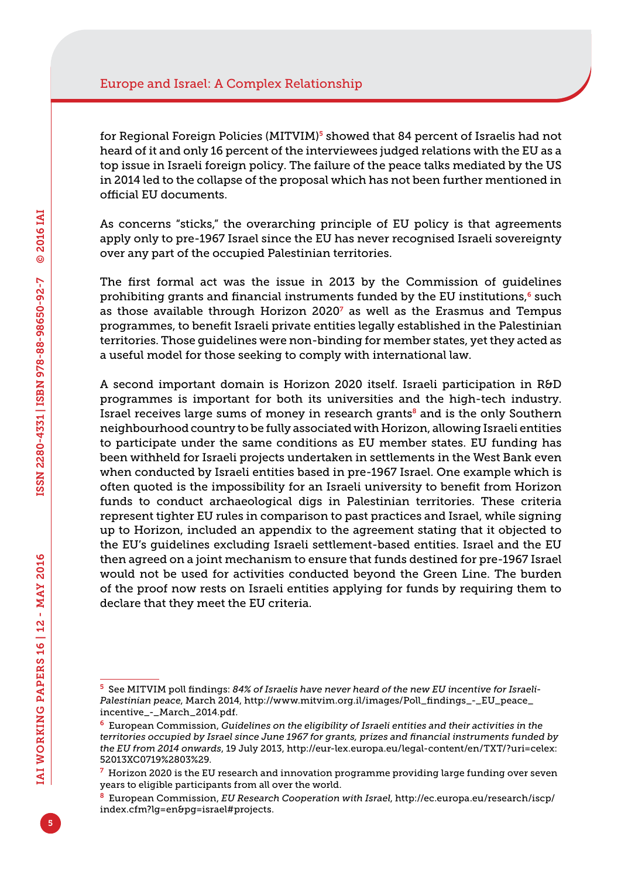for Regional Foreign Policies (MITVIM)<sup>5</sup> showed that 84 percent of Israelis had not heard of it and only 16 percent of the interviewees judged relations with the EU as a top issue in Israeli foreign policy. The failure of the peace talks mediated by the US in 2014 led to the collapse of the proposal which has not been further mentioned in official EU documents.

As concerns "sticks," the overarching principle of EU policy is that agreements apply only to pre-1967 Israel since the EU has never recognised Israeli sovereignty over any part of the occupied Palestinian territories.

The first formal act was the issue in 2013 by the Commission of guidelines prohibiting grants and financial instruments funded by the EU institutions, $6$  such as those available through Horizon 2020 $^7$  as well as the Erasmus and Tempus programmes, to benefit Israeli private entities legally established in the Palestinian territories. Those guidelines were non-binding for member states, yet they acted as a useful model for those seeking to comply with international law.

A second important domain is Horizon 2020 itself. Israeli participation in R&D programmes is important for both its universities and the high-tech industry. Israel receives large sums of money in research grants $\delta$  and is the only Southern neighbourhood country to be fully associated with Horizon, allowing Israeli entities to participate under the same conditions as EU member states. EU funding has been withheld for Israeli projects undertaken in settlements in the West Bank even when conducted by Israeli entities based in pre-1967 Israel. One example which is often quoted is the impossibility for an Israeli university to benefit from Horizon funds to conduct archaeological digs in Palestinian territories. These criteria represent tighter EU rules in comparison to past practices and Israel, while signing up to Horizon, included an appendix to the agreement stating that it objected to the EU's guidelines excluding Israeli settlement-based entities. Israel and the EU then agreed on a joint mechanism to ensure that funds destined for pre-1967 Israel would not be used for activities conducted beyond the Green Line. The burden of the proof now rests on Israeli entities applying for funds by requiring them to declare that they meet the EU criteria.

<sup>5</sup> See MITVIM poll findings: *84% of Israelis have never heard of the new EU incentive for Israeli-Palestinian peace*, March 2014, [http://www.mitvim.org.il/images/Poll\\_findings\\_-\\_EU\\_peace\\_](http://www.mitvim.org.il/images/Poll_findings_-_EU_peace_incentive_-_March_2014.pdf) [incentive\\_-\\_March\\_2014.pdf.](http://www.mitvim.org.il/images/Poll_findings_-_EU_peace_incentive_-_March_2014.pdf)

<sup>6</sup> European Commission, *Guidelines on the eligibility of Israeli entities and their activities in the territories occupied by Israel since June 1967 for grants, prizes and financial instruments funded by the EU from 2014 onwards*, 19 July 2013, [http://eur-lex.europa.eu/legal-content/en/TXT/?uri=celex:](http://eur-lex.europa.eu/legal-content/en/TXT/?uri=celex:52013XC0719%2803%29) [52013XC0719%2803%29.](http://eur-lex.europa.eu/legal-content/en/TXT/?uri=celex:52013XC0719%2803%29)

 $7$  Horizon 2020 is the EU research and innovation programme providing large funding over seven years to eligible participants from all over the world.

<sup>8</sup> European Commission, *EU Research Cooperation with Israel*, [http://ec.europa.eu/research/iscp/](http://ec.europa.eu/research/iscp/index.cfm?lg=en&pg=israel#projects) [index.cfm?lg=en&pg=israel#projects.](http://ec.europa.eu/research/iscp/index.cfm?lg=en&pg=israel#projects)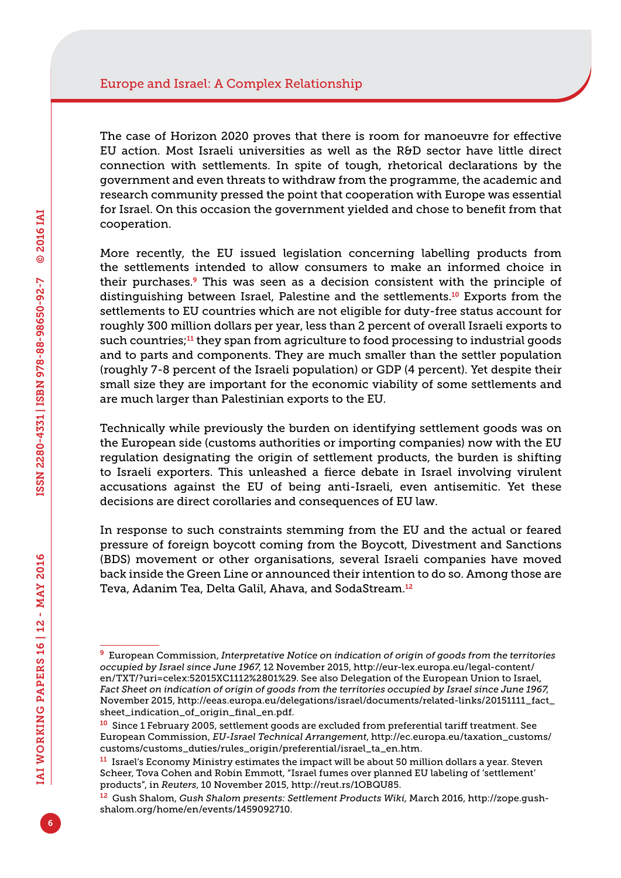The case of Horizon 2020 proves that there is room for manoeuvre for effective EU action. Most Israeli universities as well as the R&D sector have little direct connection with settlements. In spite of tough, rhetorical declarations by the government and even threats to withdraw from the programme, the academic and research community pressed the point that cooperation with Europe was essential for Israel. On this occasion the government yielded and chose to benefit from that cooperation.

More recently, the EU issued legislation concerning labelling products from the settlements intended to allow consumers to make an informed choice in their purchases.<sup>9</sup> This was seen as a decision consistent with the principle of distinguishing between Israel, Palestine and the settlements.10 Exports from the settlements to EU countries which are not eligible for duty-free status account for roughly 300 million dollars per year, less than 2 percent of overall Israeli exports to such countries;<sup>11</sup> they span from agriculture to food processing to industrial goods and to parts and components. They are much smaller than the settler population (roughly 7-8 percent of the Israeli population) or GDP (4 percent). Yet despite their small size they are important for the economic viability of some settlements and are much larger than Palestinian exports to the EU.

Technically while previously the burden on identifying settlement goods was on the European side (customs authorities or importing companies) now with the EU regulation designating the origin of settlement products, the burden is shifting to Israeli exporters. This unleashed a fierce debate in Israel involving virulent accusations against the EU of being anti-Israeli, even antisemitic. Yet these decisions are direct corollaries and consequences of EU law.

In response to such constraints stemming from the EU and the actual or feared pressure of foreign boycott coming from the Boycott, Divestment and Sanctions (BDS) movement or other organisations, several Israeli companies have moved back inside the Green Line or announced their intention to do so. Among those are Teva, Adanim Tea, Delta Galil, Ahava, and SodaStream.<sup>12</sup>

<sup>9</sup> European Commission, *Interpretative Notice on indication of origin of goods from the territories occupied by Israel since June 1967*, 12 November 2015, [http://eur-lex.europa.eu/legal-content/](http://eur-lex.europa.eu/legal-content/en/TXT/?uri=celex:52015XC1112%2801%29) [en/TXT/?uri=celex:52015XC1112%2801%29.](http://eur-lex.europa.eu/legal-content/en/TXT/?uri=celex:52015XC1112%2801%29) See also Delegation of the European Union to Israel, *Fact Sheet on indication of origin of goods from the territories occupied by Israel since June 1967*, November 2015, [http://eeas.europa.eu/delegations/israel/documents/related-links/20151111\\_fact\\_](http://eeas.europa.eu/delegations/israel/documents/related-links/20151111_fact_sheet_indication_of_origin_final_en.pdf) [sheet\\_indication\\_of\\_origin\\_final\\_en.pdf.](http://eeas.europa.eu/delegations/israel/documents/related-links/20151111_fact_sheet_indication_of_origin_final_en.pdf)

<sup>&</sup>lt;sup>10</sup> Since 1 February 2005, settlement goods are excluded from preferential tariff treatment. See European Commission, *EU-Israel Technical Arrangement*, [http://ec.europa.eu/taxation\\_customs/](http://ec.europa.eu/taxation_customs/customs/customs_duties/rules_origin/preferential/israel_ta_en.htm) [customs/customs\\_duties/rules\\_origin/preferential/israel\\_ta\\_en.htm.](http://ec.europa.eu/taxation_customs/customs/customs_duties/rules_origin/preferential/israel_ta_en.htm)

 $11$  Israel's Economy Ministry estimates the impact will be about 50 million dollars a year. Steven Scheer, Tova Cohen and Robin Emmott, "Israel fumes over planned EU labeling of 'settlement' products", in *Reuters*, 10 November 2015, [http://reut.rs/1OBQU85.](http://reut.rs/1OBQU85)

<sup>12</sup> Gush Shalom, *Gush Shalom presents: Settlement Products Wiki*, March 2016, [http://zope.gush](http://zope.gush-shalom.org/home/en/events/1459092710)[shalom.org/home/en/events/1459092710](http://zope.gush-shalom.org/home/en/events/1459092710).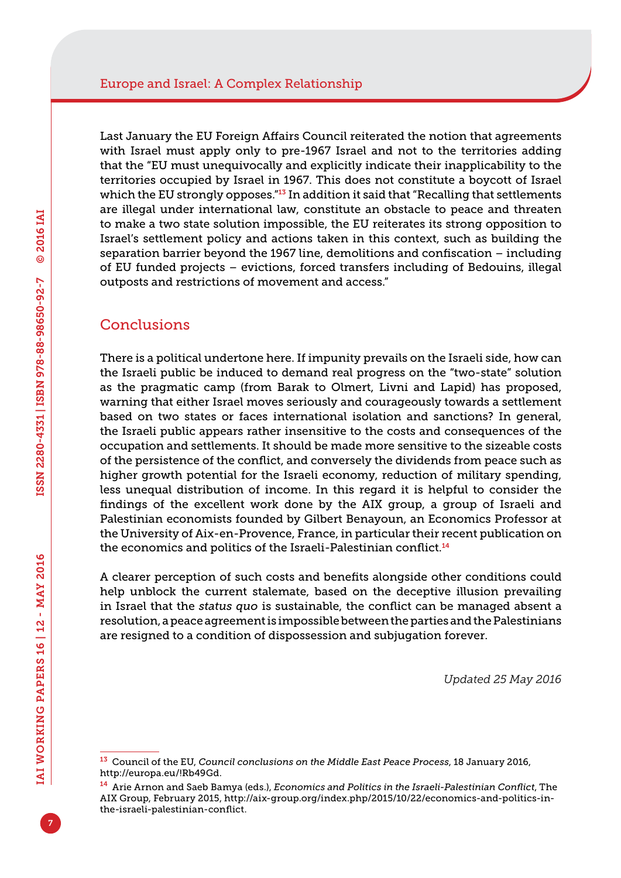Last January the EU Foreign Affairs Council reiterated the notion that agreements with Israel must apply only to pre-1967 Israel and not to the territories adding that the "EU must unequivocally and explicitly indicate their inapplicability to the territories occupied by Israel in 1967. This does not constitute a boycott of Israel which the EU strongly opposes."<sup>13</sup> In addition it said that "Recalling that settlements are illegal under international law, constitute an obstacle to peace and threaten to make a two state solution impossible, the EU reiterates its strong opposition to Israel's settlement policy and actions taken in this context, such as building the separation barrier beyond the 1967 line, demolitions and confiscation – including of EU funded projects – evictions, forced transfers including of Bedouins, illegal outposts and restrictions of movement and access."

### **Conclusions**

There is a political undertone here. If impunity prevails on the Israeli side, how can the Israeli public be induced to demand real progress on the "two-state" solution as the pragmatic camp (from Barak to Olmert, Livni and Lapid) has proposed, warning that either Israel moves seriously and courageously towards a settlement based on two states or faces international isolation and sanctions? In general, the Israeli public appears rather insensitive to the costs and consequences of the occupation and settlements. It should be made more sensitive to the sizeable costs of the persistence of the conflict, and conversely the dividends from peace such as higher growth potential for the Israeli economy, reduction of military spending, less unequal distribution of income. In this regard it is helpful to consider the findings of the excellent work done by the AIX group, a group of Israeli and Palestinian economists founded by Gilbert Benayoun, an Economics Professor at the University of Aix-en-Provence, France, in particular their recent publication on the economics and politics of the Israeli-Palestinian conflict.<sup>14</sup>

A clearer perception of such costs and benefits alongside other conditions could help unblock the current stalemate, based on the deceptive illusion prevailing in Israel that the *status quo* is sustainable, the conflict can be managed absent a resolution, a peace agreement is impossible between the parties and the Palestinians are resigned to a condition of dispossession and subjugation forever.

*Updated 25 May 2016*

<sup>13</sup> Council of the EU, *Council conclusions on the Middle East Peace Process*, 18 January 2016, <http://europa.eu/!Rb49Gd>.

<sup>14</sup> Arie Arnon and Saeb Bamya (eds.), *Economics and Politics in the Israeli-Palestinian Conflict*, The AIX Group, February 2015, [http://aix-group.org/index.php/2015/10/22/economics-and-politics-in](http://aix-group.org/index.php/2015/10/22/economics-and-politics-in-the-israeli-palestinian-conflict)[the-israeli-palestinian-conflict](http://aix-group.org/index.php/2015/10/22/economics-and-politics-in-the-israeli-palestinian-conflict).